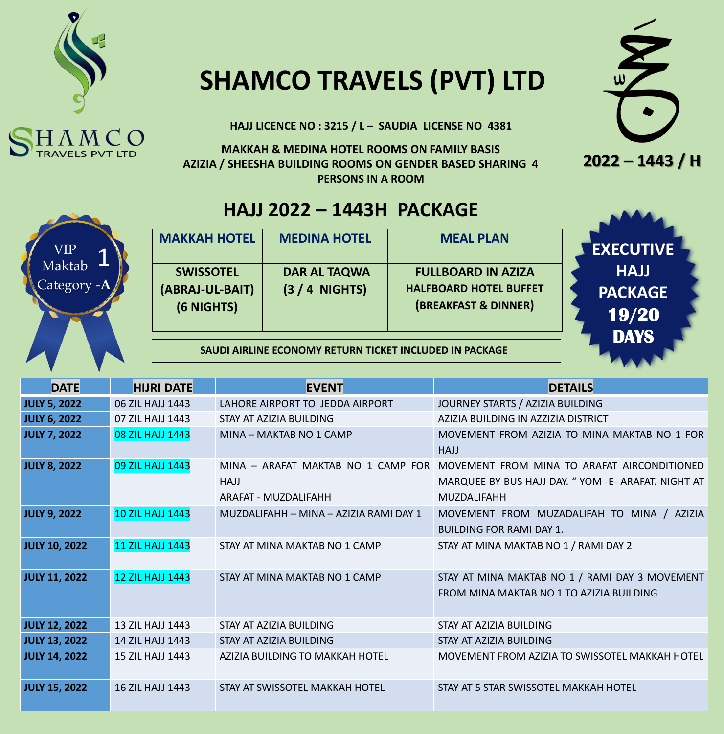

## **SHAMCO TRAVELS (PVT) LTD**

**HAJJ LICENCE NO : 3215 / L – SAUDIA LICENSE NO 4381**

**MAKKAH & MEDINA HOTEL ROOMS ON FAMILY BASIS AZIZIA / SHEESHA BUILDING ROOMS ON GENDER BASED SHARING 4 PERSONS IN A ROOM** 





#### **HAJJ 2022 – 1443H PACKAGE**



| <b>MAKKAH HOTEL</b>                               | <b>MEDINA HOTEL</b>                   | <b>MEAL PLAN</b>                                                                   |
|---------------------------------------------------|---------------------------------------|------------------------------------------------------------------------------------|
| <b>SWISSOTEL</b><br>(ABRAJ-UL-BAIT)<br>(6 NIGHTS) | <b>DAR AL TAQWA</b><br>$(3/4$ NIGHTS) | <b>FULLBOARD IN AZIZA</b><br><b>HALFBOARD HOTEL BUFFET</b><br>(BREAKFAST & DINNER) |
|                                                   |                                       |                                                                                    |

**SAUDI AIRLINE ECONOMY RETURN TICKET INCLUDED IN PACKAGE**

| <b>DATE</b>          | <b>HIJRI DATE</b>       | <b>EVENT</b>                                                                                                                                                                                                | <b>DETAILS</b>                                                                             |  |
|----------------------|-------------------------|-------------------------------------------------------------------------------------------------------------------------------------------------------------------------------------------------------------|--------------------------------------------------------------------------------------------|--|
| <b>JULY 5, 2022</b>  | 06 ZIL HAJJ 1443        | LAHORE AIRPORT TO JEDDA AIRPORT                                                                                                                                                                             | JOURNEY STARTS / AZIZIA BUILDING                                                           |  |
| <b>JULY 6, 2022</b>  | 07 ZIL HAJJ 1443        | STAY AT AZIZIA BUILDING                                                                                                                                                                                     | AZIZIA BUILDING IN AZZIZIA DISTRICT                                                        |  |
| <b>JULY 7, 2022</b>  | 08 ZIL HAJJ 1443        | MINA - MAKTAB NO 1 CAMP                                                                                                                                                                                     | MOVEMENT FROM AZIZIA TO MINA MAKTAB NO 1 FOR<br><b>HAJJ</b>                                |  |
| <b>JULY 8, 2022</b>  | 09 ZIL HAJJ 1443        | MINA - ARAFAT MAKTAB NO 1 CAMP FOR<br>MOVEMENT FROM MINA TO ARAFAT AIRCONDITIONED<br>MARQUEE BY BUS HAJJ DAY. "YOM -E- ARAFAT. NIGHT AT<br><b>HAJJ</b><br><b>MUZDALIFAHH</b><br><b>ARAFAT - MUZDALIFAHH</b> |                                                                                            |  |
| <b>JULY 9, 2022</b>  | <b>10 ZIL HAJJ 1443</b> | MUZDALIFAHH - MINA - AZIZIA RAMI DAY 1                                                                                                                                                                      | MOVEMENT FROM MUZADALIFAH TO MINA / AZIZIA<br><b>BUILDING FOR RAMI DAY 1.</b>              |  |
| <b>JULY 10, 2022</b> | <b>11 ZIL HAJJ 1443</b> | STAY AT MINA MAKTAB NO 1 CAMP                                                                                                                                                                               | STAY AT MINA MAKTAB NO 1 / RAMI DAY 2                                                      |  |
| <b>JULY 11, 2022</b> | <b>12 ZIL HAJJ 1443</b> | STAY AT MINA MAKTAB NO 1 CAMP                                                                                                                                                                               | STAY AT MINA MAKTAB NO 1 / RAMI DAY 3 MOVEMENT<br>FROM MINA MAKTAB NO 1 TO AZIZIA BUILDING |  |
| <b>JULY 12, 2022</b> | 13 ZIL HAJJ 1443        | STAY AT AZIZIA BUILDING                                                                                                                                                                                     | STAY AT AZIZIA BUILDING                                                                    |  |
| <b>JULY 13, 2022</b> | 14 ZIL HAJJ 1443        | STAY AT AZIZIA BUILDING                                                                                                                                                                                     | STAY AT AZIZIA BUILDING                                                                    |  |
| <b>JULY 14, 2022</b> | 15 ZIL HAJJ 1443        | AZIZIA BUILDING TO MAKKAH HOTEL                                                                                                                                                                             | MOVEMENT FROM AZIZIA TO SWISSOTEL MAKKAH HOTEL                                             |  |
| <b>JULY 15, 2022</b> | <b>16 ZIL HAJJ 1443</b> | STAY AT SWISSOTEL MAKKAH HOTEL                                                                                                                                                                              | STAY AT 5 STAR SWISSOTEL MAKKAH HOTEL                                                      |  |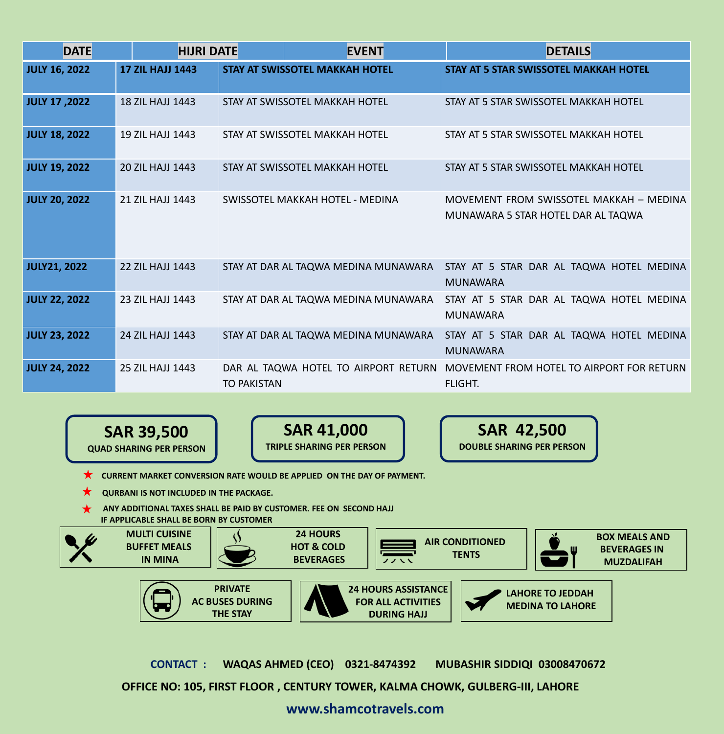| <b>DATE</b>          | <b>HIJRI DATE</b>       |                    | <b>EVENT</b>                          | <b>DETAILS</b>                                                                                     |  |
|----------------------|-------------------------|--------------------|---------------------------------------|----------------------------------------------------------------------------------------------------|--|
| <b>JULY 16, 2022</b> | <b>17 ZIL HAJJ 1443</b> |                    | <b>STAY AT SWISSOTEL MAKKAH HOTEL</b> | <b>STAY AT 5 STAR SWISSOTEL MAKKAH HOTEL</b>                                                       |  |
| JULY 17,2022         | <b>18 ZIL HAJJ 1443</b> |                    | STAY AT SWISSOTEL MAKKAH HOTEL        | STAY AT 5 STAR SWISSOTEL MAKKAH HOTEL                                                              |  |
| <b>JULY 18, 2022</b> | <b>19 ZIL HAJJ 1443</b> |                    | STAY AT SWISSOTEL MAKKAH HOTEL        | STAY AT 5 STAR SWISSOTEL MAKKAH HOTEL                                                              |  |
| <b>JULY 19, 2022</b> | 20 ZIL HAJJ 1443        |                    | STAY AT SWISSOTEL MAKKAH HOTEL        | STAY AT 5 STAR SWISSOTEL MAKKAH HOTEL                                                              |  |
| <b>JULY 20, 2022</b> | 21 ZIL HAJJ 1443        |                    | SWISSOTEL MAKKAH HOTEL - MEDINA       | MOVEMENT FROM SWISSOTEL MAKKAH - MEDINA<br>MUNAWARA 5 STAR HOTEL DAR AL TAQWA                      |  |
| <b>JULY21, 2022</b>  | <b>22 ZIL HAJJ 1443</b> |                    |                                       | STAY AT DAR AL TAQWA MEDINA MUNAWARA   STAY AT 5 STAR DAR AL TAQWA HOTEL MEDINA<br><b>MUNAWARA</b> |  |
| <b>JULY 22, 2022</b> | 23 ZIL HAJJ 1443        |                    | STAY AT DAR AL TAQWA MEDINA MUNAWARA  | STAY AT 5 STAR DAR AL TAQWA HOTEL MEDINA<br><b>MUNAWARA</b>                                        |  |
| <b>JULY 23, 2022</b> | 24 ZIL HAJJ 1443        |                    | STAY AT DAR AL TAQWA MEDINA MUNAWARA  | STAY AT 5 STAR DAR AL TAQWA HOTEL MEDINA<br><b>MUNAWARA</b>                                        |  |
| <b>JULY 24, 2022</b> | 25 ZIL HAJJ 1443        | <b>TO PAKISTAN</b> |                                       | DAR AL TAQWA HOTEL TO AIRPORT RETURN MOVEMENT FROM HOTEL TO AIRPORT FOR RETURN<br><b>FLIGHT.</b>   |  |



**SAR 41,000 TRIPLE SHARING PER PERSON**

**SAR 42,500 DOUBLE SHARING PER PERSON**

**X** CURRENT MARKET CONVERSION RATE WOULD BE APPLIED ON THE DAY OF PAYMENT.

- **QURBANI IS NOT INCLUDED IN THE PACKAGE.**
- **ANY ADDITIONAL TAXES SHALL BE PAID BY CUSTOMER. FEE ON SECOND HAJJ IF APPLICABLE SHALL BE BORN BY CUSTOMER**

**THE STAY**



**CONTACT : WAQAS AHMED (CEO) 0321-8474392 MUBASHIR SIDDIQI 03008470672** 

**DURING HAJJ**

**OFFICE NO: 105, FIRST FLOOR , CENTURY TOWER, KALMA CHOWK, GULBERG-III, LAHORE**

**www.shamcotravels.com**